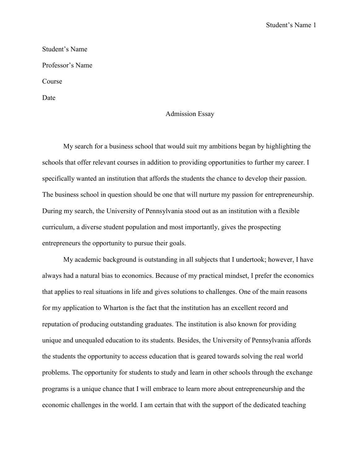Student's Name 1

Student's Name Professor's Name Course Date

## Admission Essay

My search for a business school that would suit my ambitions began by highlighting the schools that offer relevant courses in addition to providing opportunities to further my career. I specifically wanted an institution that affords the students the chance to develop their passion. The business school in question should be one that will nurture my passion for entrepreneurship. During my search, the University of Pennsylvania stood out as an institution with a flexible curriculum, a diverse student population and most importantly, gives the prospecting entrepreneurs the opportunity to pursue their goals.

My academic background is outstanding in all subjects that I undertook; however, I have always had a natural bias to economics. Because of my practical mindset, I prefer the economics that applies to real situations in life and gives solutions to challenges. One of the main reasons for my application to Wharton is the fact that the institution has an excellent record and reputation of producing outstanding graduates. The institution is also known for providing unique and unequaled education to its students. Besides, the University of Pennsylvania affords the students the opportunity to access education that is geared towards solving the real world problems. The opportunity for students to study and learn in other schools through the exchange programs is a unique chance that I will embrace to learn more about entrepreneurship and the economic challenges in the world. I am certain that with the support of the dedicated teaching